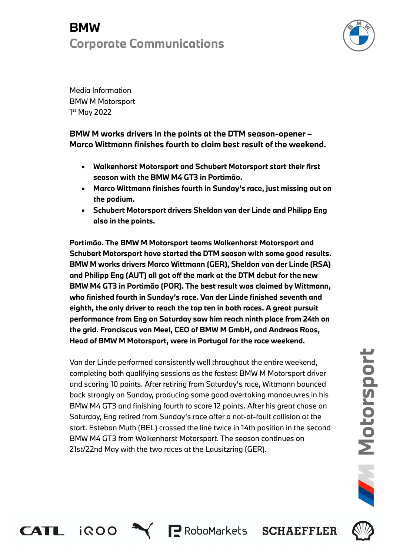# **BMW Corporate Communications**



Media Information BMW M Motorsport 1 st May 2022

CATL IROO

**BMW M works drivers in the points at the DTM season-opener – Marco Wittmann finishes fourth to claim best result of the weekend.**

- **Walkenhorst Motorsport and Schubert Motorsport start their first season with the BMW M4 GT3 in Portimão.**
- **Marco Wittmann finishes fourth in Sunday's race, just missing out on the podium.**
- **Schubert Motorsport drivers Sheldon van der Linde and Philipp Eng also in the points.**

**Portimão. The BMW M Motorsport teams Walkenhorst Motorsport and Schubert Motorsport have started the DTM season with some good results. BMW M works drivers Marco Wittmann (GER), Sheldon van der Linde (RSA) and Philipp Eng (AUT) all got off the mark at the DTM debut for the new BMW M4 GT3 in Portimão (POR). The best result was claimed by Wittmann, who finished fourth in Sunday's race. Van der Linde finished seventh and eighth, the only driver to reach the top ten in both races. A great pursuit performance from Eng on Saturday saw him reach ninth place from 24th on the grid. Franciscus van Meel, CEO of BMW M GmbH, and Andreas Roos, Head of BMW M Motorsport, were in Portugal for the race weekend.** 

Van der Linde performed consistently well throughout the entire weekend, completing both qualifying sessions as the fastest BMW M Motorsport driver and scoring 10 points. After retiring from Saturday's race, Wittmann bounced back strongly on Sunday, producing some good overtaking manoeuvres in his BMW M4 GT3 and finishing fourth to score 12 points. After his great chase on Saturday, Eng retired from Sunday's race after a not-at-fault collision at the start. Esteban Muth (BEL) crossed the line twice in 14th position in the second BMW M4 GT3 from Walkenhorst Motorsport. The season continues on 21st/22nd May with the two races at the Lausitzring (GER).

P RoboMarkets SCHAEFFLER

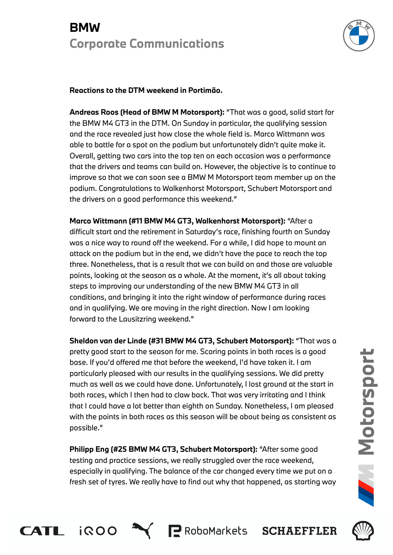# **BMW Corporate Communications**



## **Reactions to the DTM weekend in Portimão.**

**Andreas Roos (Head of BMW M Motorsport):** "That was a good, solid start for the BMW M4 GT3 in the DTM. On Sunday in particular, the qualifying session and the race revealed just how close the whole field is. Marco Wittmann was able to battle for a spot on the podium but unfortunately didn't quite make it. Overall, getting two cars into the top ten on each occasion was a performance that the drivers and teams can build on. However, the objective is to continue to improve so that we can soon see a BMW M Motorsport team member up on the podium. Congratulations to Walkenhorst Motorsport, Schubert Motorsport and the drivers on a good performance this weekend."

**Marco Wittmann (#11 BMW M4 GT3, Walkenhorst Motorsport):** "After a difficult start and the retirement in Saturday's race, finishing fourth on Sunday was a nice way to round off the weekend. For a while, I did hope to mount an attack on the podium but in the end, we didn't have the pace to reach the top three. Nonetheless, that is a result that we can build on and those are valuable points, looking at the season as a whole. At the moment, it's all about taking steps to improving our understanding of the new BMW M4 GT3 in all conditions, and bringing it into the right window of performance during races and in qualifying. We are moving in the right direction. Now I am looking forward to the Lausitzring weekend."

**Sheldon van der Linde (#31 BMW M4 GT3, Schubert Motorsport):** "That was a pretty good start to the season for me. Scoring points in both races is a good base. If you'd offered me that before the weekend, I'd have taken it. I am particularly pleased with our results in the qualifying sessions. We did pretty much as well as we could have done. Unfortunately, I lost ground at the start in both races, which I then had to claw back. That was very irritating and I think that I could have a lot better than eighth on Sunday. Nonetheless, I am pleased with the points in both races as this season will be about being as consistent as possible."

**Philipp Eng (#25 BMW M4 GT3, Schubert Motorsport):** "After some good testing and practice sessions, we really struggled over the race weekend, especially in qualifying. The balance of the car changed every time we put on a fresh set of tyres. We really have to find out why that happened, as starting way